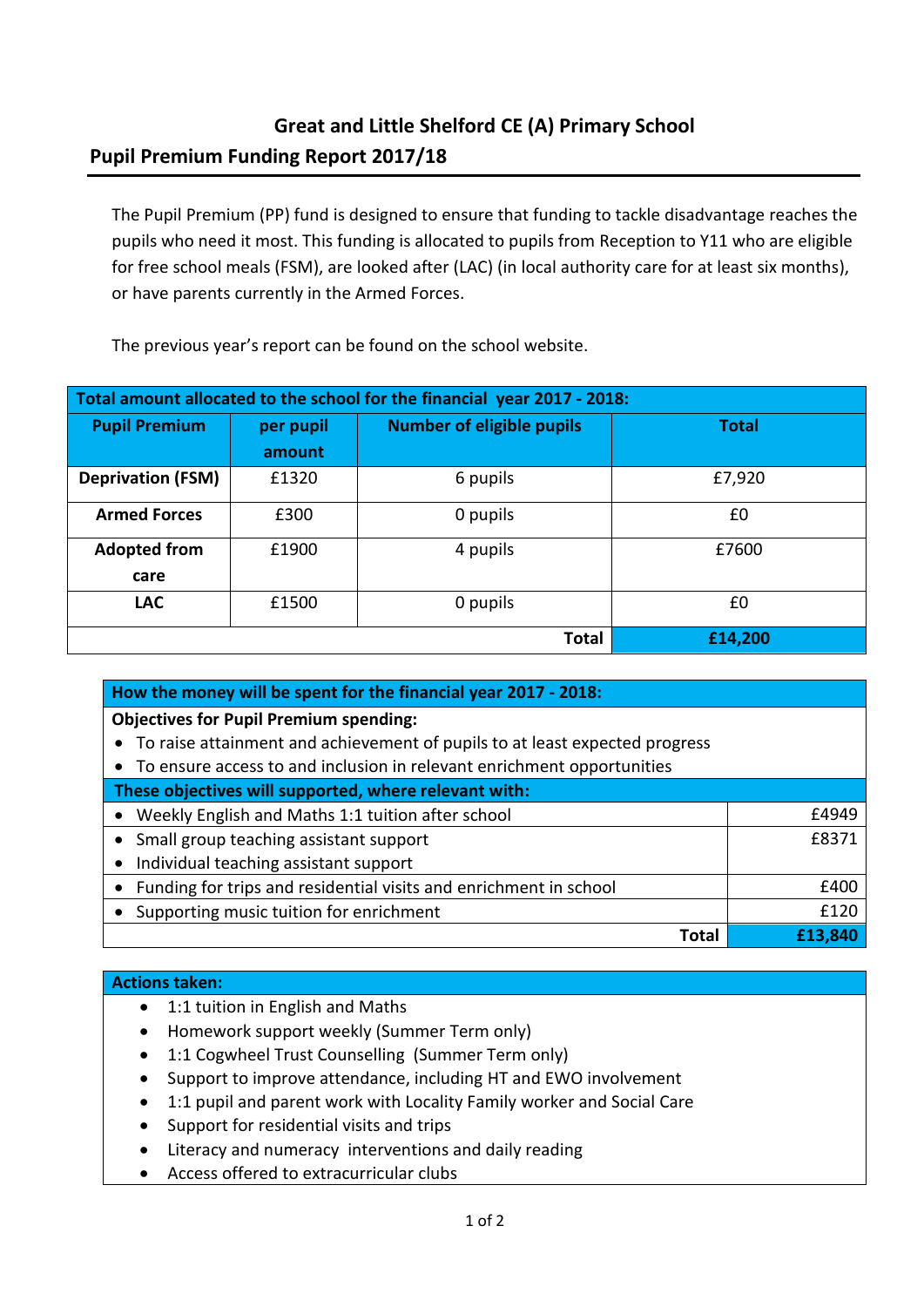## **Great and Little Shelford CE (A) Primary School Pupil Premium Funding Report 2017/18**

The Pupil Premium (PP) fund is designed to ensure that funding to tackle disadvantage reaches the pupils who need it most. This funding is allocated to pupils from Reception to Y11 who are eligible for free school meals (FSM), are looked after (LAC) (in local authority care for at least six months), or have parents currently in the Armed Forces.

The previous year's report can be found on the school website.

| Total amount allocated to the school for the financial year 2017 - 2018: |           |                                  |              |  |
|--------------------------------------------------------------------------|-----------|----------------------------------|--------------|--|
| <b>Pupil Premium</b>                                                     | per pupil | <b>Number of eligible pupils</b> | <b>Total</b> |  |
|                                                                          | amount    |                                  |              |  |
| <b>Deprivation (FSM)</b>                                                 | £1320     | 6 pupils                         | £7,920       |  |
| <b>Armed Forces</b>                                                      | £300      | 0 pupils                         | £0           |  |
| <b>Adopted from</b>                                                      | £1900     | 4 pupils                         | £7600        |  |
| care                                                                     |           |                                  |              |  |
| <b>LAC</b>                                                               | £1500     | 0 pupils                         | £0           |  |
|                                                                          |           | <b>Total</b>                     | £14,200      |  |

| How the money will be spent for the financial year 2017 - 2018:             |         |  |  |  |
|-----------------------------------------------------------------------------|---------|--|--|--|
| <b>Objectives for Pupil Premium spending:</b>                               |         |  |  |  |
| To raise attainment and achievement of pupils to at least expected progress |         |  |  |  |
| To ensure access to and inclusion in relevant enrichment opportunities      |         |  |  |  |
| These objectives will supported, where relevant with:                       |         |  |  |  |
| Weekly English and Maths 1:1 tuition after school                           | £4949   |  |  |  |
| Small group teaching assistant support                                      | £8371   |  |  |  |
| Individual teaching assistant support                                       |         |  |  |  |
| Funding for trips and residential visits and enrichment in school           | £400    |  |  |  |
| Supporting music tuition for enrichment                                     | £120    |  |  |  |
| Tota                                                                        | £13.840 |  |  |  |

## **Actions taken:**

- 1:1 tuition in English and Maths
- Homework support weekly (Summer Term only)
- 1:1 Cogwheel Trust Counselling (Summer Term only)
- Support to improve attendance, including HT and EWO involvement
- 1:1 pupil and parent work with Locality Family worker and Social Care
- Support for residential visits and trips
- Literacy and numeracy interventions and daily reading
- Access offered to extracurricular clubs